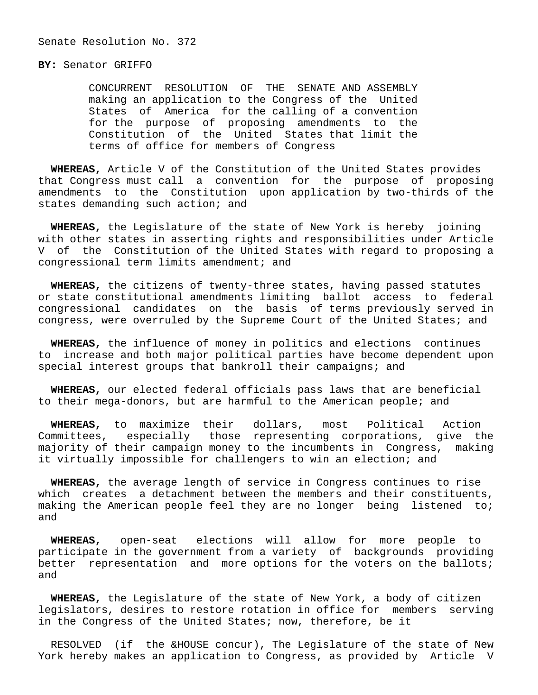## **BY:** Senator GRIFFO

 CONCURRENT RESOLUTION OF THE SENATE AND ASSEMBLY making an application to the Congress of the United States of America for the calling of a convention for the purpose of proposing amendments to the Constitution of the United States that limit the terms of office for members of Congress

 **WHEREAS,** Article V of the Constitution of the United States provides that Congress must call a convention for the purpose of proposing amendments to the Constitution upon application by two-thirds of the states demanding such action; and

 **WHEREAS,** the Legislature of the state of New York is hereby joining with other states in asserting rights and responsibilities under Article V of the Constitution of the United States with regard to proposing a congressional term limits amendment; and

 **WHEREAS,** the citizens of twenty-three states, having passed statutes or state constitutional amendments limiting ballot access to federal congressional candidates on the basis of terms previously served in congress, were overruled by the Supreme Court of the United States; and

 **WHEREAS,** the influence of money in politics and elections continues to increase and both major political parties have become dependent upon special interest groups that bankroll their campaigns; and

 **WHEREAS,** our elected federal officials pass laws that are beneficial to their mega-donors, but are harmful to the American people; and

 **WHEREAS,** to maximize their dollars, most Political Action Committees, especially those representing corporations, give the majority of their campaign money to the incumbents in Congress, making it virtually impossible for challengers to win an election; and

 **WHEREAS,** the average length of service in Congress continues to rise which creates a detachment between the members and their constituents, making the American people feel they are no longer being listened to; and

 **WHEREAS,** open-seat elections will allow for more people to participate in the government from a variety of backgrounds providing better representation and more options for the voters on the ballots; and

 **WHEREAS,** the Legislature of the state of New York, a body of citizen legislators, desires to restore rotation in office for members serving in the Congress of the United States; now, therefore, be it

 RESOLVED (if the &HOUSE concur), The Legislature of the state of New York hereby makes an application to Congress, as provided by Article V